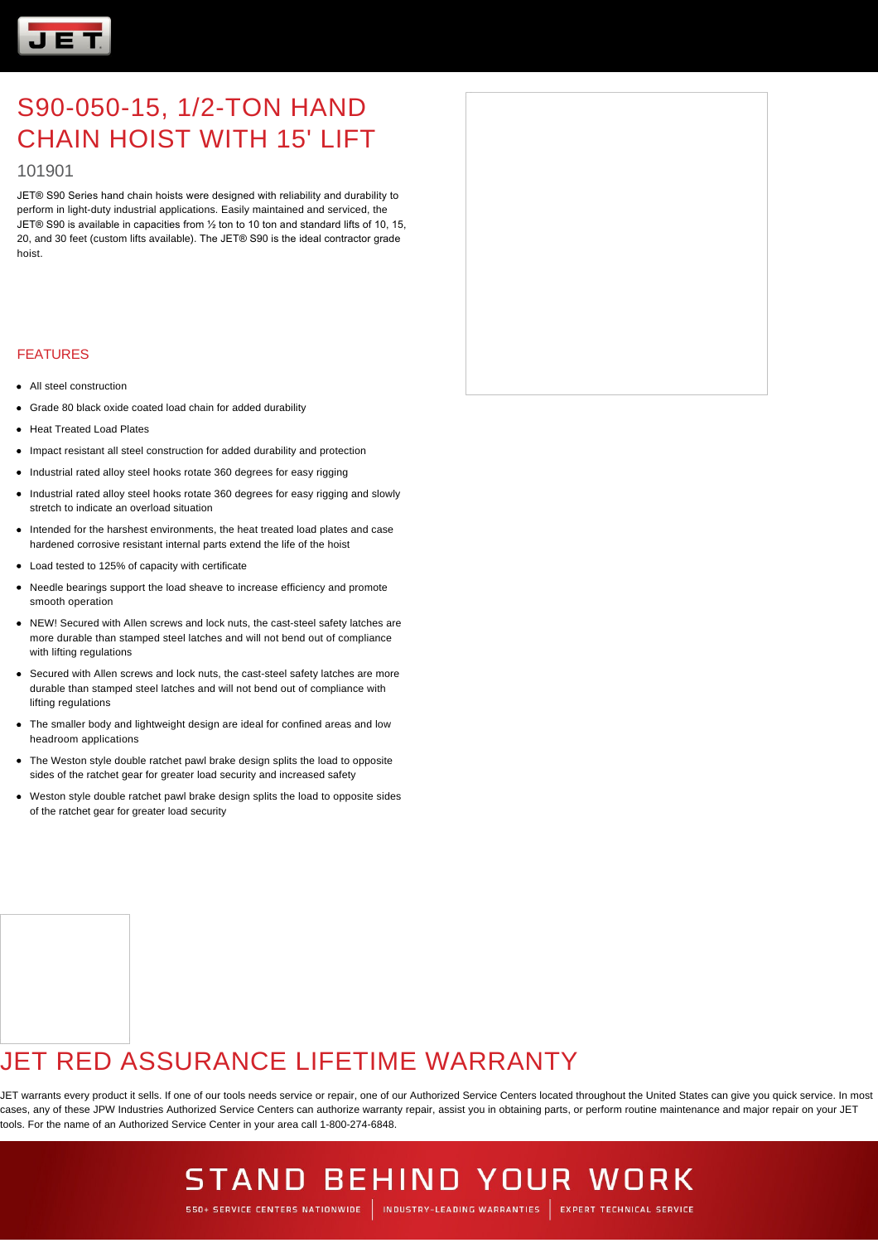

### 101901

JET® S90 Series hand chain hoists were designed with reliability and durability to perform in light-duty industrial applications. Easily maintained and serviced, the JET® S90 is available in capacities from ½ ton to 10 ton and standard lifts of 10, 15, 20, and 30 feet (custom lifts available). The JET® S90 is the ideal contractor grade hoist.

#### FEATURES

- All steel construction
- Grade 80 black oxide coated load chain for added durability
- Heat Treated Load Plates
- Impact resistant all steel construction for added durability and protection
- Industrial rated alloy steel hooks rotate 360 degrees for easy rigging
- Industrial rated alloy steel hooks rotate 360 degrees for easy rigging and slowly stretch to indicate an overload situation
- Intended for the harshest environments, the heat treated load plates and case hardened corrosive resistant internal parts extend the life of the hoist
- Load tested to 125% of capacity with certificate
- Needle bearings support the load sheave to increase efficiency and promote smooth operation
- NEW! Secured with Allen screws and lock nuts, the cast-steel safety latches are more durable than stamped steel latches and will not bend out of compliance with lifting regulations
- Secured with Allen screws and lock nuts, the cast-steel safety latches are more durable than stamped steel latches and will not bend out of compliance with lifting regulations
- The smaller body and lightweight design are ideal for confined areas and low headroom applications
- The Weston style double ratchet pawl brake design splits the load to opposite sides of the ratchet gear for greater load security and increased safety
- Weston style double ratchet pawl brake design splits the load to opposite sides of the ratchet gear for greater load security

## JET RED ASSURANCE LIFETIME WARRANTY

JET warrants every product it sells. If one of our tools needs service or repair, one of our Authorized Service Centers located throughout the United States can give you quick service. In most cases, any of these JPW Industries Authorized Service Centers can authorize warranty repair, assist you in obtaining parts, or perform routine maintenance and major repair on your JET tools. For the name of an Authorized Service Center in your area call 1-800-274-6848.

# **STAND BEHIND YOUR WORK**

550+ SERVICE CENTERS NATIONWIDE | INDUSTRY-LEADING WARRANTIES | EXPERT TECHNICAL SERVICE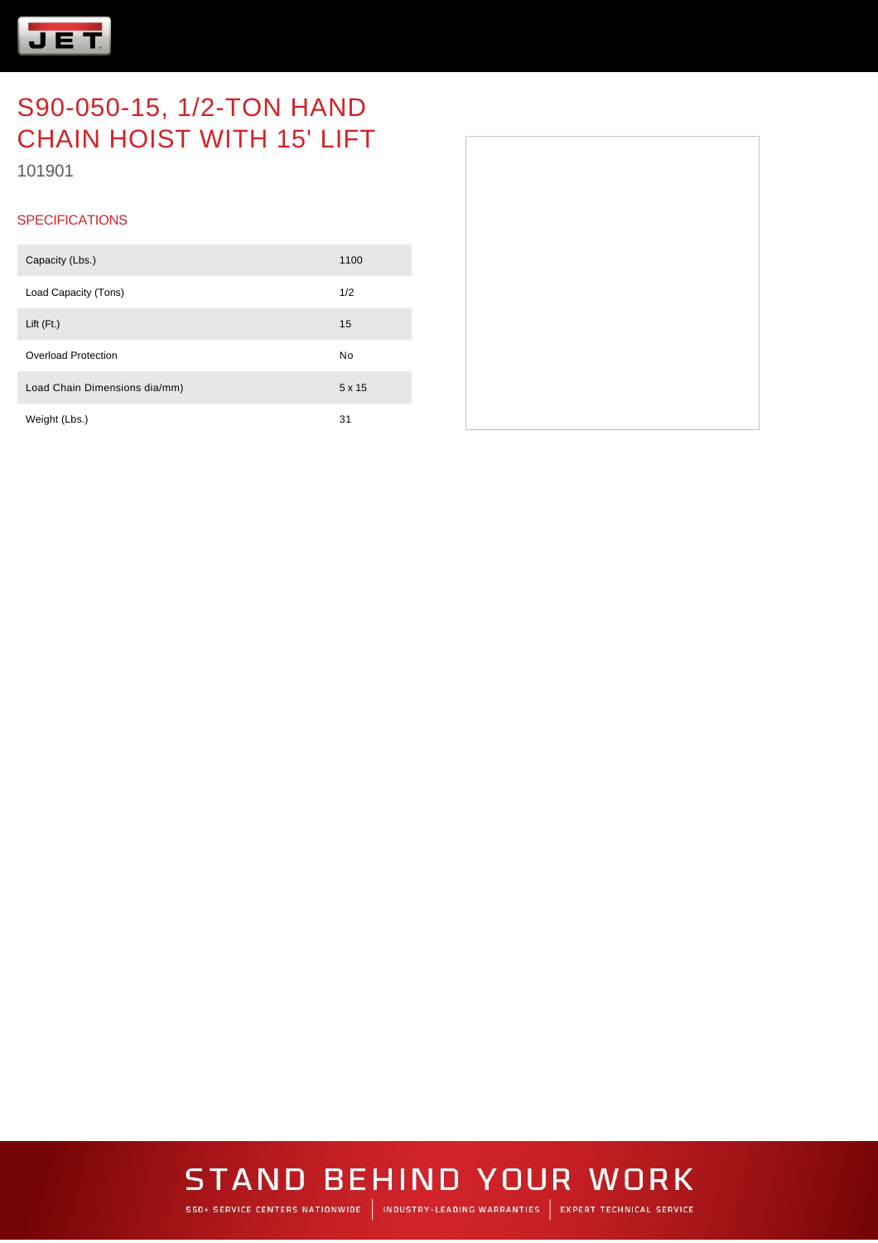

101901

### **SPECIFICATIONS**

| Capacity (Lbs.)               | 1100 |
|-------------------------------|------|
| Load Capacity (Tons)          | 1/2  |
| Lift $(Ft)$                   | 15   |
| Overload Protection           | No   |
| Load Chain Dimensions dia/mm) | 5x15 |
| Weight (Lbs.)                 | 31   |



# **STAND BEHIND YOUR WORK**

550+ SERVICE CENTERS NATIONWIDE | INDUSTRY-LEADING WARRANTIES | EXPERT TECHNICAL SERVICE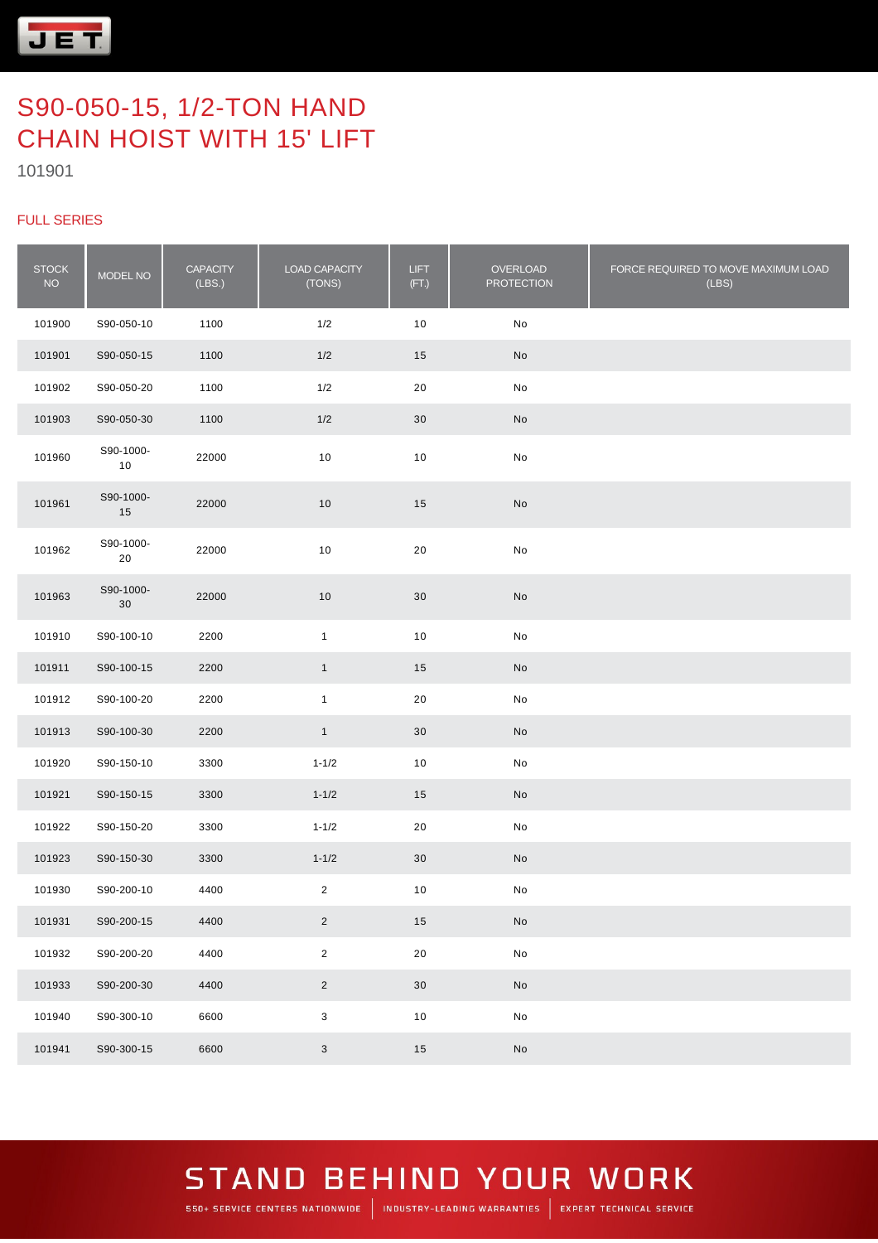

### FULL SERIES

| <b>STOCK</b><br><b>NO</b> | MODEL NO            | <b>CAPACITY</b><br>(LBS.) | LOAD CAPACITY<br>(TONS)   | <b>LIFT</b><br>(FT.) | OVERLOAD<br><b>PROTECTION</b> | FORCE REQUIRED TO MOVE MAXIMUM LOAD<br>(LES) |
|---------------------------|---------------------|---------------------------|---------------------------|----------------------|-------------------------------|----------------------------------------------|
| 101900                    | S90-050-10          | 1100                      | 1/2                       | $10$                 | No                            |                                              |
| 101901                    | S90-050-15          | 1100                      | 1/2                       | 15                   | No                            |                                              |
| 101902                    | S90-050-20          | 1100                      | 1/2                       | 20                   | No                            |                                              |
| 101903                    | S90-050-30          | 1100                      | 1/2                       | 30                   | No                            |                                              |
| 101960                    | S90-1000-<br>10     | 22000                     | 10                        | 10                   | No                            |                                              |
| 101961                    | S90-1000-<br>15     | 22000                     | 10                        | 15                   | No                            |                                              |
| 101962                    | S90-1000-<br>20     | 22000                     | $10$                      | 20                   | No                            |                                              |
| 101963                    | S90-1000-<br>$30\,$ | 22000                     | $10$                      | 30                   | No                            |                                              |
| 101910                    | S90-100-10          | 2200                      | $\mathbf{1}$              | 10                   | No                            |                                              |
| 101911                    | S90-100-15          | 2200                      | $\mathbf{1}$              | 15                   | No                            |                                              |
| 101912                    | S90-100-20          | 2200                      | $\mathbf{1}$              | 20                   | No                            |                                              |
| 101913                    | S90-100-30          | 2200                      | $\mathbf{1}$              | $30\,$               | No                            |                                              |
| 101920                    | S90-150-10          | 3300                      | $1 - 1/2$                 | 10                   | No                            |                                              |
| 101921                    | S90-150-15          | 3300                      | $1 - 1/2$                 | 15                   | No                            |                                              |
| 101922                    | S90-150-20          | 3300                      | $1 - 1/2$                 | 20                   | No                            |                                              |
| 101923                    | S90-150-30          | 3300                      | $1 - 1/2$                 | 30                   | No                            |                                              |
| 101930                    | S90-200-10          | 4400                      | $\overline{2}$            | 10                   | No                            |                                              |
| 101931                    | S90-200-15          | 4400                      | $\overline{2}$            | 15                   | $\mathsf{No}$                 |                                              |
| 101932                    | S90-200-20          | 4400                      | $\overline{2}$            | $20\,$               | ${\sf No}$                    |                                              |
| 101933                    | S90-200-30          | 4400                      | $\overline{2}$            | 30                   | $\operatorname{\mathsf{No}}$  |                                              |
| 101940                    | S90-300-10          | 6600                      | $\ensuremath{\mathsf{3}}$ | $10$                 | ${\sf No}$                    |                                              |
| 101941                    | S90-300-15          | 6600                      | 3                         | 15                   | $\mathsf{No}$                 |                                              |

### **STAND BEHIND YOUR WORK** 550+ SERVICE CENTERS NATIONWIDE | INDUSTRY-LEADING WARRANTIES | EXPERT TECHNICAL SERVICE